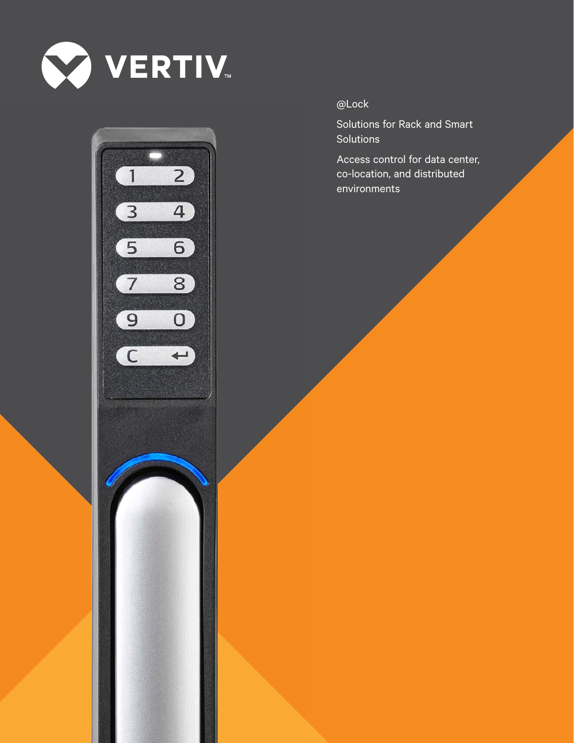



@Lock

Solutions for Rack and Smart **Solutions** 

Access control for data center, co-location, and distributed environments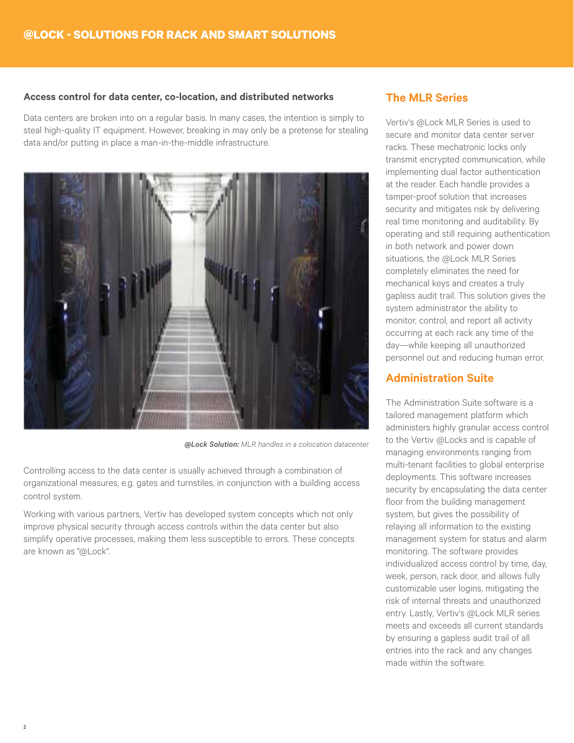#### **Access control for data center, co-location, and distributed networks**

Data centers are broken into on a regular basis. In many cases, the intention is simply to steal high-quality IT equipment. However, breaking in may only be a pretense for stealing data and/or putting in place a man-in-the-middle infrastructure.



*@Lock Solution: MLR handles in a colocation datacenter*

Controlling access to the data center is usually achieved through a combination of organizational measures, e.g. gates and turnstiles, in conjunction with a building access control system.

Working with various partners, Vertiv has developed system concepts which not only improve physical security through access controls within the data center but also simplify operative processes, making them less susceptible to errors. These concepts are known as "@Lock".

#### **The MLR Series**

Vertiv's @Lock MLR Series is used to secure and monitor data center server racks. These mechatronic locks only transmit encrypted communication, while implementing dual factor authentication at the reader. Each handle provides a tamper-proof solution that increases security and mitigates risk by delivering real time monitoring and auditability. By operating and still requiring authentication in both network and power down situations, the @Lock MLR Series completely eliminates the need for mechanical keys and creates a truly gapless audit trail. This solution gives the system administrator the ability to monitor, control, and report all activity occurring at each rack any time of the day—while keeping all unauthorized personnel out and reducing human error.

#### **Administration Suite**

The Administration Suite software is a tailored management platform which administers highly granular access control to the Vertiv @Locks and is capable of managing environments ranging from multi-tenant facilities to global enterprise deployments. This software increases security by encapsulating the data center floor from the building management system, but gives the possibility of relaying all information to the existing management system for status and alarm monitoring. The software provides individualized access control by time, day, week, person, rack door, and allows fully customizable user logins, mitigating the risk of internal threats and unauthorized entry. Lastly, Vertiv's @Lock MLR series meets and exceeds all current standards by ensuring a gapless audit trail of all entries into the rack and any changes made within the software.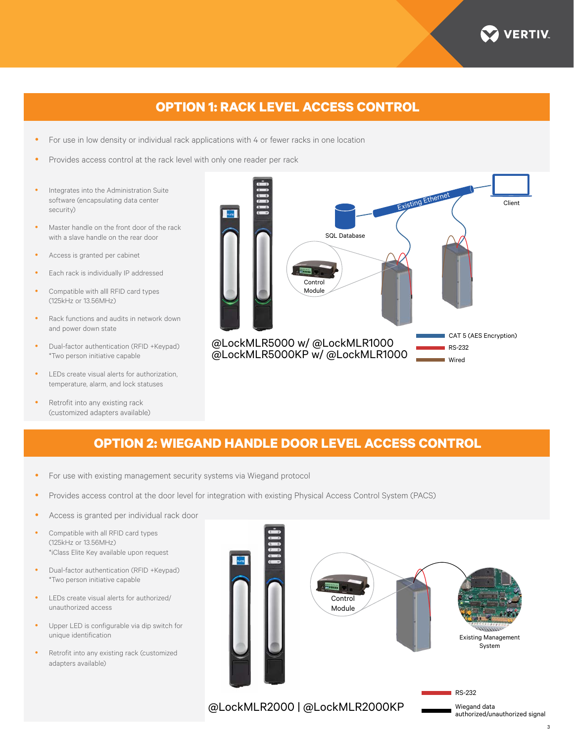

# **OPTION 1: RACK LEVEL ACCESS CONTROL**

- For use in low density or individual rack applications with 4 or fewer racks in one location
- Provides access control at the rack level with only one reader per rack
- Integrates into the Administration Suite software (encapsulating data center security)
- Master handle on the front door of the rack with a slave handle on the rear door
- Access is granted per cabinet
- Each rack is individually IP addressed
- Compatible with alll RFID card types (125kHz or 13.56MHz)
- Rack functions and audits in network down and power down state
- Dual-factor authentication (RFID +Keypad) \*Two person initiative capable
- LEDs create visual alerts for authorization, temperature, alarm, and lock statuses
- Retrofit into any existing rack (customized adapters available)



## **OPTION 2: WIEGAND HANDLE DOOR LEVEL ACCESS CONTROL**

- For use with existing management security systems via Wiegand protocol
- Provides access control at the door level for integration with existing Physical Access Control System (PACS)
- Access is granted per individual rack door
- Compatible with all RFID card types (125kHz or 13.56MHz) \*iClass Elite Key available upon request
- Dual-factor authentication (RFID +Keypad) \*Two person initiative capable
- LEDs create visual alerts for authorized/ unauthorized access
- Upper LED is configurable via dip switch for unique identification
- Retrofit into any existing rack (customized adapters available)



@LockMLR2000 | @LockMLR2000KP

authorized/unauthorized signal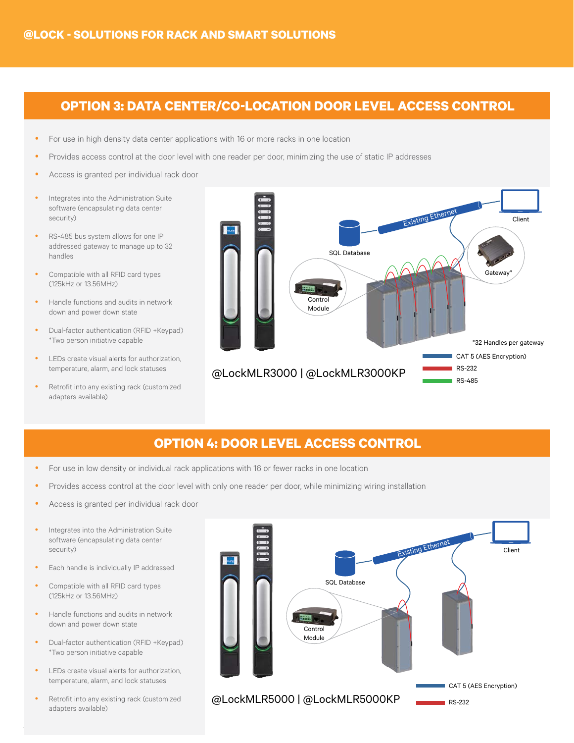#### **OPTION 3: DATA CENTER/CO-LOCATION DOOR LEVEL ACCESS CONTROL**

- For use in high density data center applications with 16 or more racks in one location
- Provides access control at the door level with one reader per door, minimizing the use of static IP addresses
- Access is granted per individual rack door
- Integrates into the Administration Suite software (encapsulating data center security)
- RS-485 bus system allows for one IP addressed gateway to manage up to 32 handles
- Compatible with all RFID card types (125kHz or 13.56MHz)
- Handle functions and audits in network down and power down state
- Dual-factor authentication (RFID +Keypad) \*Two person initiative capable
- LEDs create visual alerts for authorization, temperature, alarm, and lock statuses
- Retrofit into any existing rack (customized adapters available)



#### **OPTION 4: DOOR LEVEL ACCESS CONTROL**

- For use in low density or individual rack applications with 16 or fewer racks in one location
- Provides access control at the door level with only one reader per door, while minimizing wiring installation
- Access is granted per individual rack door
- Integrates into the Administration Suite software (encapsulating data center security)
- Each handle is individually IP addressed
- Compatible with all RFID card types (125kHz or 13.56MHz)
- Handle functions and audits in network down and power down state
- Dual-factor authentication (RFID +Keypad) \*Two person initiative capable
- LEDs create visual alerts for authorization, temperature, alarm, and lock statuses
- Retrofit into any existing rack (customized adapters available)

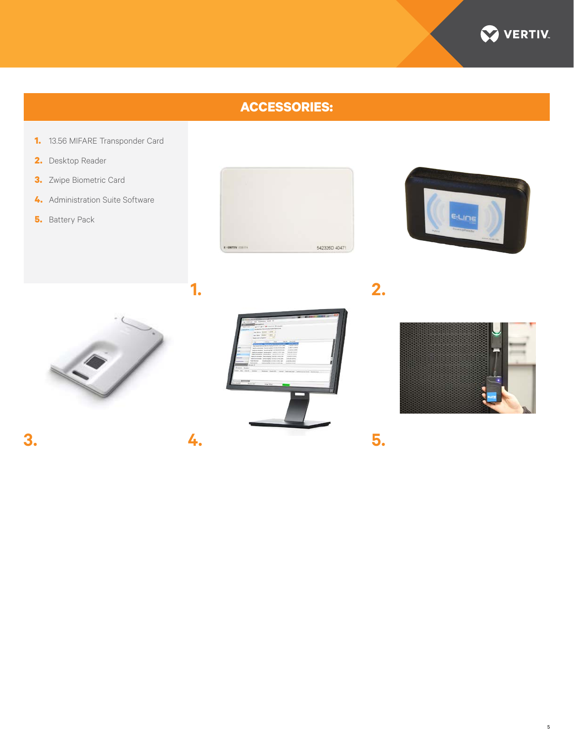

# **ACCESSORIES:**

- **1.** 13.56 MIFARE Transponder Card
- **2.** Desktop Reader
- **3.** Zwipe Biometric Card
- **4.** Administration Suite Software
- **5.** Battery Pack







**1.**

**3. 4.**



**2.**



**5.**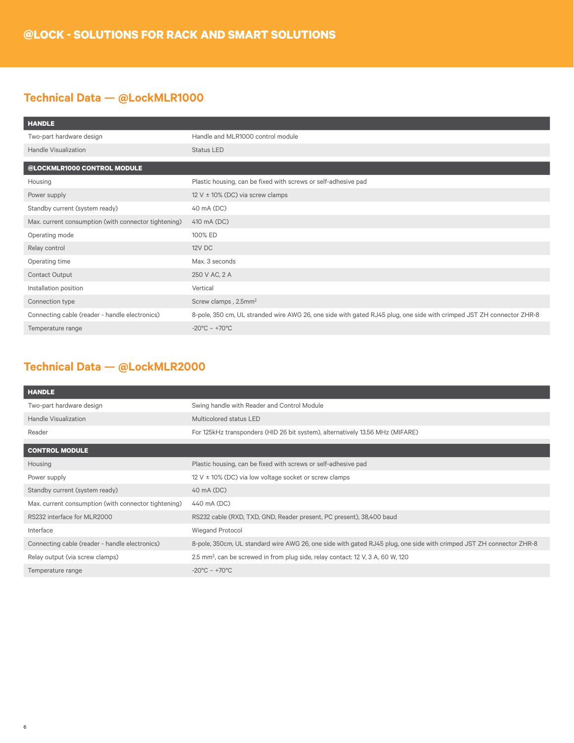### **Technical Data — @LockMLR1000**

| <b>HANDLE</b>                                        |                                                                                                                      |
|------------------------------------------------------|----------------------------------------------------------------------------------------------------------------------|
| Two-part hardware design                             | Handle and MLR1000 control module                                                                                    |
| Handle Visualization                                 | <b>Status LED</b>                                                                                                    |
| @LOCKMLR1000 CONTROL MODULE                          |                                                                                                                      |
| Housing                                              | Plastic housing, can be fixed with screws or self-adhesive pad                                                       |
| Power supply                                         | 12 V $\pm$ 10% (DC) via screw clamps                                                                                 |
| Standby current (system ready)                       | 40 mA (DC)                                                                                                           |
| Max. current consumption (with connector tightening) | 410 mA (DC)                                                                                                          |
| Operating mode                                       | 100% ED                                                                                                              |
| Relay control                                        | 12V DC                                                                                                               |
| Operating time                                       | Max. 3 seconds                                                                                                       |
| <b>Contact Output</b>                                | 250 V AC, 2 A                                                                                                        |
| Installation position                                | Vertical                                                                                                             |
| Connection type                                      | Screw clamps, 2.5mm <sup>2</sup>                                                                                     |
| Connecting cable (reader - handle electronics)       | 8-pole, 350 cm, UL stranded wire AWG 26, one side with gated RJ45 plug, one side with crimped JST ZH connector ZHR-8 |
| Temperature range                                    | $-20^{\circ}$ C – $+70^{\circ}$ C                                                                                    |

## **Technical Data — @LockMLR2000**

| <b>HANDLE</b>                                        |                                                                                                                     |
|------------------------------------------------------|---------------------------------------------------------------------------------------------------------------------|
| Two-part hardware design                             | Swing handle with Reader and Control Module                                                                         |
| <b>Handle Visualization</b>                          | Multicolored status LED                                                                                             |
| Reader                                               | For 125kHz transponders (HID 26 bit system), alternatively 13.56 MHz (MIFARE)                                       |
| <b>CONTROL MODULE</b>                                |                                                                                                                     |
| Housing                                              | Plastic housing, can be fixed with screws or self-adhesive pad                                                      |
| Power supply                                         | 12 V $\pm$ 10% (DC) via low voltage socket or screw clamps                                                          |
| Standby current (system ready)                       | 40 mA (DC)                                                                                                          |
| Max. current consumption (with connector tightening) | 440 mA (DC)                                                                                                         |
| RS232 interface for MLR2000                          | RS232 cable (RXD, TXD, GND, Reader present, PC present), 38,400 baud                                                |
| Interface                                            | Wiegand Protocol                                                                                                    |
| Connecting cable (reader - handle electronics)       | 8-pole, 350cm, UL standard wire AWG 26, one side with gated RJ45 plug, one side with crimped JST ZH connector ZHR-8 |
| Relay output (via screw clamps)                      | 2.5 mm <sup>2</sup> , can be screwed in from plug side, relay contact: 12 V, 3 A, 60 W, 120                         |
| Temperature range                                    | $-20^{\circ}$ C – $+70^{\circ}$ C                                                                                   |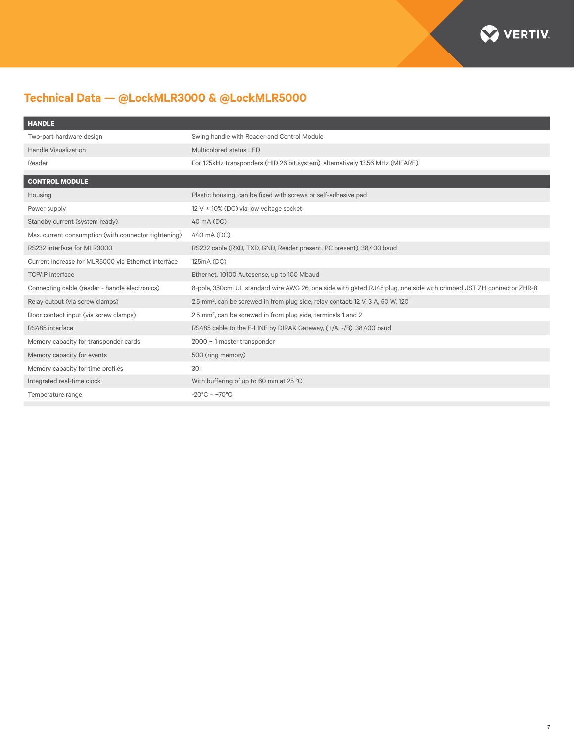

# **Technical Data — @LockMLR3000 & @LockMLR5000**

| <b>HANDLE</b>                                        |                                                                                                                     |
|------------------------------------------------------|---------------------------------------------------------------------------------------------------------------------|
| Two-part hardware design                             | Swing handle with Reader and Control Module                                                                         |
| Handle Visualization                                 | Multicolored status LED                                                                                             |
| Reader                                               | For 125kHz transponders (HID 26 bit system), alternatively 13.56 MHz (MIFARE)                                       |
| <b>CONTROL MODULE</b>                                |                                                                                                                     |
| Housing                                              | Plastic housing, can be fixed with screws or self-adhesive pad                                                      |
| Power supply                                         | 12 V $\pm$ 10% (DC) via low voltage socket                                                                          |
| Standby current (system ready)                       | 40 mA (DC)                                                                                                          |
| Max. current consumption (with connector tightening) | 440 mA (DC)                                                                                                         |
| RS232 interface for MLR3000                          | RS232 cable (RXD, TXD, GND, Reader present, PC present), 38,400 baud                                                |
| Current increase for MLR5000 via Ethernet interface  | 125mA (DC)                                                                                                          |
| <b>TCP/IP</b> interface                              | Ethernet, 10100 Autosense, up to 100 Mbaud                                                                          |
| Connecting cable (reader - handle electronics)       | 8-pole, 350cm, UL standard wire AWG 26, one side with gated RJ45 plug, one side with crimped JST ZH connector ZHR-8 |
| Relay output (via screw clamps)                      | 2.5 mm <sup>2</sup> , can be screwed in from plug side, relay contact: 12 V, 3 A, 60 W, 120                         |
| Door contact input (via screw clamps)                | 2.5 mm <sup>2</sup> , can be screwed in from plug side, terminals 1 and 2                                           |
| RS485 interface                                      | RS485 cable to the E-LINE by DIRAK Gateway, (+/A, -/B), 38,400 baud                                                 |
| Memory capacity for transponder cards                | 2000 + 1 master transponder                                                                                         |
| Memory capacity for events                           | 500 (ring memory)                                                                                                   |
| Memory capacity for time profiles                    | 30                                                                                                                  |
| Integrated real-time clock                           | With buffering of up to 60 min at 25 °C                                                                             |
| Temperature range                                    | $-20^{\circ}$ C - $+70^{\circ}$ C                                                                                   |